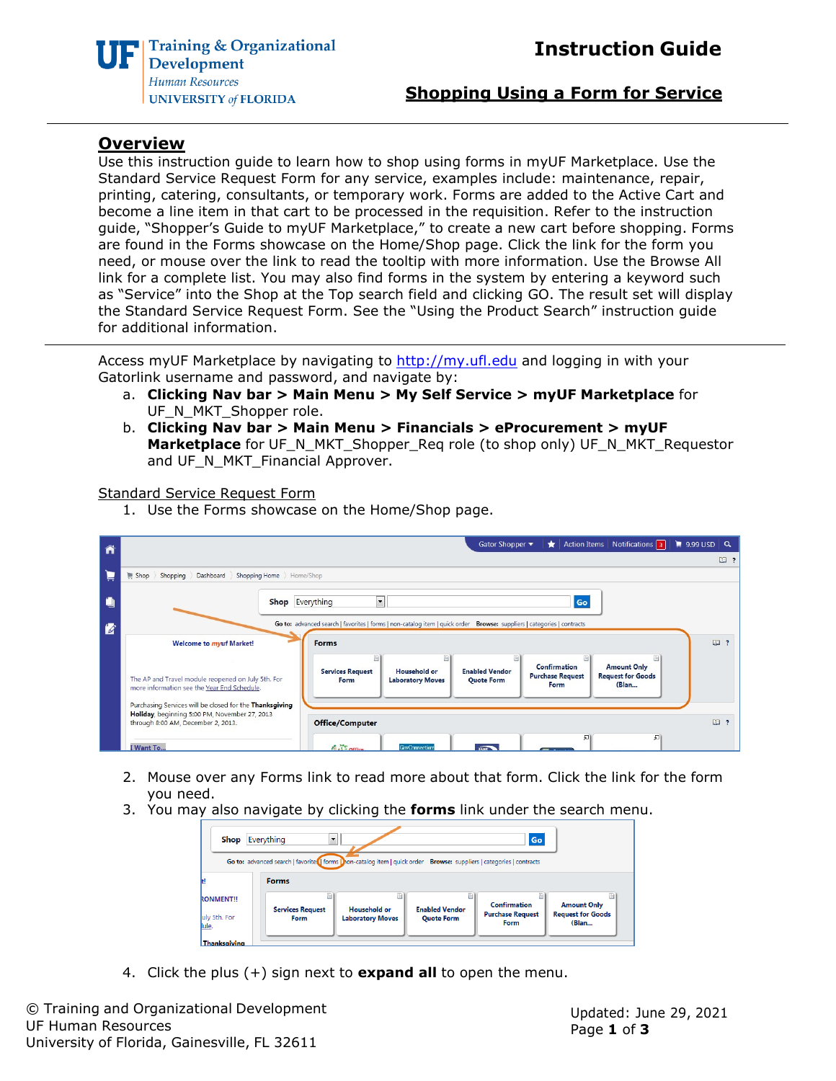

**Shopping Using a Form for Service**

## **Overview**

Use this instruction guide to learn how to shop using forms in myUF Marketplace. Use the Standard Service Request Form for any service, examples include: maintenance, repair, printing, catering, consultants, or temporary work. Forms are added to the Active Cart and become a line item in that cart to be processed in the requisition. Refer to the instruction guide, "Shopper's Guide to myUF Marketplace," to create a new cart before shopping. Forms are found in the Forms showcase on the Home/Shop page. Click the link for the form you need, or mouse over the link to read the tooltip with more information. Use the Browse All link for a complete list. You may also find forms in the system by entering a keyword such as "Service" into the Shop at the Top search field and clicking GO. The result set will display the Standard Service Request Form. See the "Using the Product Search" instruction guide for additional information.

Access myUF Marketplace by navigating to [http://my.ufl.edu](http://my.ufl.edu/) and logging in with your Gatorlink username and password, and navigate by:

- a. **Clicking Nav bar > Main Menu > My Self Service > myUF Marketplace** for UF\_N\_MKT\_Shopper role.
- b. **Clicking Nav bar > Main Menu > Financials > eProcurement > myUF Marketplace** for UF\_N\_MKT\_Shopper\_Req role (to shop only) UF\_N\_MKT\_Requestor and UF\_N\_MKT\_Financial Approver.

Standard Service Request Form

1. Use the Forms showcase on the Home/Shop page.

| Â              | $\frac{1}{2}$ 9.99 USD Q<br>Action Items   Notifications   3   <br>Gator Shopper ▼<br>*                                                                                                                                                                                                                                                           |          |
|----------------|---------------------------------------------------------------------------------------------------------------------------------------------------------------------------------------------------------------------------------------------------------------------------------------------------------------------------------------------------|----------|
|                |                                                                                                                                                                                                                                                                                                                                                   | $\Box$ ? |
| Þ              | Shopping Home Home/Shop<br>Dashboard<br>Shopping<br>Shop                                                                                                                                                                                                                                                                                          |          |
| $\blacksquare$ | <b>Shop</b> Everything<br>Go<br>$\cdot$                                                                                                                                                                                                                                                                                                           |          |
| Ø              | Go to: advanced search   favorites   forms   non-catalog item   quick order Browse: suppliers   categories   contracts                                                                                                                                                                                                                            |          |
|                | <b>Forms</b><br><b>Welcome to myuf Market!</b>                                                                                                                                                                                                                                                                                                    | $\Box$   |
|                | B)<br>Confirmation<br><b>Amount Only</b><br><b>Enabled Vendor</b><br><b>Services Request</b><br>Household or<br><b>Request for Goods</b><br><b>Purchase Request</b><br>The AP and Travel module reopened on July 5th. For<br><b>Laboratory Moves</b><br><b>Quote Form</b><br>Form<br>Form<br>(Blan<br>more information see the Year End Schedule. |          |
|                | Purchasing Services will be closed for the Thanksgiving<br>Holiday, beginning 5:00 PM, November 27, 2013<br>through 8:00 AM, December 2, 2013.<br><b>Office/Computer</b>                                                                                                                                                                          | $\Box$   |
|                | 皿<br>别<br>$\bigtriangleup$ . $\bigtriangleup$ office<br>I Want To<br>GovConnection<br>TASK <sup>T</sup>                                                                                                                                                                                                                                           |          |

- 2. Mouse over any Forms link to read more about that form. Click the link for the form you need.
- 3. You may also navigate by clicking the **forms** link under the search menu.

| $\overline{\phantom{a}}$<br>Everything<br>Go<br><b>Shop</b><br>Go to: advanced search   favorite   forms   hon-catalog item   quick order Browse: suppliers   categories   contracts<br><b>Forms</b> |  |  |  |  |  |  |  |
|------------------------------------------------------------------------------------------------------------------------------------------------------------------------------------------------------|--|--|--|--|--|--|--|
|                                                                                                                                                                                                      |  |  |  |  |  |  |  |
| <b>Thanksgiving</b>                                                                                                                                                                                  |  |  |  |  |  |  |  |

4. Click the plus (+) sign next to **expand all** to open the menu.

© Training and Organizational Development UF Human Resources University of Florida, Gainesville, FL 32611

Updated: June 29, 2021 Page **1** of **3**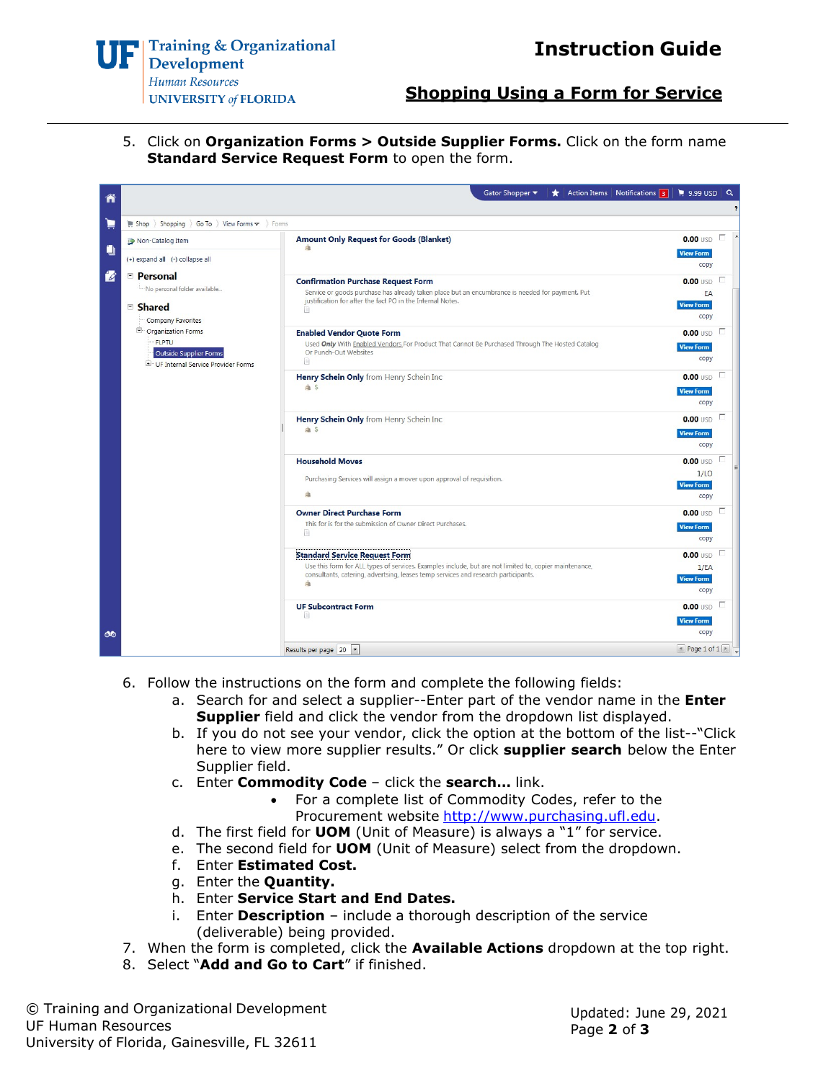

## **Shopping Using a Form for Service**

5. Click on **Organization Forms > Outside Supplier Forms.** Click on the form name **Standard Service Request Form** to open the form.

| ñ |                                                                                                                                                                                                                                                            | Gator Shopper ▼<br>Action Items   Notifications 3<br>*                                                                                                                                                                                    | $\approx$ 9.99 USD<br>$\alpha$                      |   |
|---|------------------------------------------------------------------------------------------------------------------------------------------------------------------------------------------------------------------------------------------------------------|-------------------------------------------------------------------------------------------------------------------------------------------------------------------------------------------------------------------------------------------|-----------------------------------------------------|---|
| Ĕ | Shopping ) Go To ) View Forms $\sim$ ) Forms<br>Shop                                                                                                                                                                                                       |                                                                                                                                                                                                                                           |                                                     | 2 |
| O | Non-Catalog Item<br>(+) expand all (-) collapse all<br><b>E</b> Personal<br>i No personal folder available<br>□ Shared<br>Company Favorites<br><b>E</b> Organization Forms<br><b>FLPTU</b><br>Outside Supplier Forms<br>UF Internal Service Provider Forms | <b>Amount Only Request for Goods (Blanket)</b><br>da                                                                                                                                                                                      | $0.00$ USD $\Box$<br><b>View Form</b><br>copy       |   |
| 咨 |                                                                                                                                                                                                                                                            | <b>Confirmation Purchase Request Form</b><br>Service or goods purchase has already taken place but an encumbrance is needed for payment. Put<br>justification for after the fact PO in the Internal Notes.<br>B.                          | $0.00$ USD $\Box$<br>EA<br><b>View Form</b><br>copy |   |
|   |                                                                                                                                                                                                                                                            | <b>Enabled Vendor Quote Form</b><br>Used Only With Enabled Vendors For Product That Cannot Be Purchased Through The Hosted Catalog<br>Or Punch-Out Websites<br>间                                                                          | $0.00$ USD $\Box$<br><b>View Form</b><br>copy       |   |
|   |                                                                                                                                                                                                                                                            | Henry Schein Only from Henry Schein Inc<br>a s                                                                                                                                                                                            | F<br>$0.00$ USD<br><b>View Form</b><br>copy         |   |
|   |                                                                                                                                                                                                                                                            | Henry Schein Only from Henry Schein Inc<br>a s                                                                                                                                                                                            | TГ<br>$0.00$ USD<br><b>View Form</b><br>copy        |   |
|   |                                                                                                                                                                                                                                                            | <b>Household Moves</b><br>Purchasing Services will assign a mover upon approval of requisition.<br>庙                                                                                                                                      | Е<br>$0.00$ USD<br>1/LO<br><b>View Form</b><br>copy |   |
|   |                                                                                                                                                                                                                                                            | <b>Owner Direct Purchase Form</b><br>This for is for the submission of Owner Direct Purchases.<br>B                                                                                                                                       | $0.00$ USD<br>c<br><b>View Form</b><br>copy         |   |
|   |                                                                                                                                                                                                                                                            | <b>Standard Service Request Form</b><br>Use this form for ALL types of services. Examples include, but are not limited to, copier maintenance,<br>consultants, catering, advertsing, leases temp services and research participants.<br>庙 | Æ<br>$0.00$ USD<br>1/EA<br><b>View Form</b><br>copy |   |
| ை |                                                                                                                                                                                                                                                            | <b>UF Subcontract Form</b><br>固                                                                                                                                                                                                           | $0.00$ USD $\Box$<br><b>View Form</b><br>copy       |   |
|   |                                                                                                                                                                                                                                                            | Results per page 20                                                                                                                                                                                                                       | $\blacksquare$ Page 1 of 1 $\blacktriangleright$    |   |

- 6. Follow the instructions on the form and complete the following fields:
	- a. Search for and select a supplier--Enter part of the vendor name in the **Enter Supplier** field and click the vendor from the dropdown list displayed.
	- b. If you do not see your vendor, click the option at the bottom of the list--"Click here to view more supplier results." Or click **supplier search** below the Enter Supplier field.
	- c. Enter **Commodity Code** click the **search…** link.
		- For a complete list of Commodity Codes, refer to the Procurement website [http://www.purchasing.ufl.edu.](http://www.purchasing.ufl.edu/)
	- d. The first field for **UOM** (Unit of Measure) is always a "1" for service.
	- e. The second field for **UOM** (Unit of Measure) select from the dropdown.
	- f. Enter **Estimated Cost.**
	- g. Enter the **Quantity.**
	- h. Enter **Service Start and End Dates.**
	- i. Enter **Description** include a thorough description of the service (deliverable) being provided.
- 7. When the form is completed, click the **Available Actions** dropdown at the top right.
- 8. Select "**Add and Go to Cart**" if finished.

© Training and Organizational Development UF Human Resources University of Florida, Gainesville, FL 32611